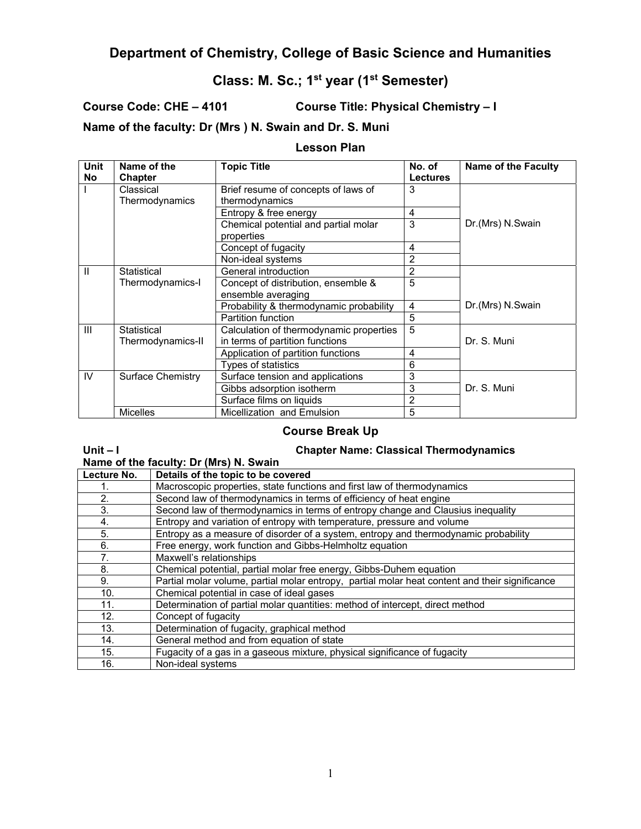# **Department of Chemistry, College of Basic Science and Humanities**

# **Class: M. Sc.; 1st year (1st Semester)**

**Course Code: CHE – 4101 Course Title: Physical Chemistry – I** 

**Name of the faculty: Dr (Mrs ) N. Swain and Dr. S. Muni** 

#### **Lesson Plan**

| Unit           | Name of the              | <b>Topic Title</b>                      | No. of          | <b>Name of the Faculty</b> |
|----------------|--------------------------|-----------------------------------------|-----------------|----------------------------|
| No             | <b>Chapter</b>           |                                         | <b>Lectures</b> |                            |
|                | Classical                | Brief resume of concepts of laws of     | 3               |                            |
|                | Thermodynamics           | thermodynamics                          |                 |                            |
|                |                          | Entropy & free energy                   | 4               |                            |
|                |                          | Chemical potential and partial molar    | 3               | Dr.(Mrs) N.Swain           |
|                |                          | properties                              |                 |                            |
|                |                          | Concept of fugacity                     | 4               |                            |
|                |                          | Non-ideal systems                       | $\overline{c}$  |                            |
| Ш              | Statistical              | General introduction                    | 2               |                            |
|                | Thermodynamics-I         | Concept of distribution, ensemble &     | 5               |                            |
|                |                          | ensemble averaging                      |                 |                            |
|                |                          | Probability & thermodynamic probability | $\overline{4}$  | Dr.(Mrs) N.Swain           |
|                |                          | <b>Partition function</b>               | 5               |                            |
| $\mathbf{III}$ | Statistical              | Calculation of thermodynamic properties | 5               |                            |
|                | Thermodynamics-II        | in terms of partition functions         |                 | Dr. S. Muni                |
|                |                          | Application of partition functions      | 4               |                            |
|                |                          | Types of statistics                     | 6               |                            |
| IV             | <b>Surface Chemistry</b> | Surface tension and applications        | 3               |                            |
|                |                          | Gibbs adsorption isotherm               | 3               | Dr. S. Muni                |
|                |                          | Surface films on liquids                | $\overline{c}$  |                            |
|                | <b>Micelles</b>          | Micellization and Emulsion              | 5               |                            |

### **Course Break Up**

## **Unit – I Chapter Name: Classical Thermodynamics**

| Name of the faculty: Dr (Mrs) N. Swain |  |  |
|----------------------------------------|--|--|
|----------------------------------------|--|--|

| Lecture No. | Details of the topic to be covered                                                             |
|-------------|------------------------------------------------------------------------------------------------|
| 1.          | Macroscopic properties, state functions and first law of thermodynamics                        |
| 2.          | Second law of thermodynamics in terms of efficiency of heat engine                             |
| 3.          | Second law of thermodynamics in terms of entropy change and Clausius inequality                |
| 4.          | Entropy and variation of entropy with temperature, pressure and volume                         |
| 5.          | Entropy as a measure of disorder of a system, entropy and thermodynamic probability            |
| 6.          | Free energy, work function and Gibbs-Helmholtz equation                                        |
| 7.          | Maxwell's relationships                                                                        |
| 8.          | Chemical potential, partial molar free energy, Gibbs-Duhem equation                            |
| 9.          | Partial molar volume, partial molar entropy, partial molar heat content and their significance |
| 10.         | Chemical potential in case of ideal gases                                                      |
| 11.         | Determination of partial molar quantities: method of intercept, direct method                  |
| 12.         | Concept of fugacity                                                                            |
| 13.         | Determination of fugacity, graphical method                                                    |
| 14.         | General method and from equation of state                                                      |
| 15.         | Fugacity of a gas in a gaseous mixture, physical significance of fugacity                      |
| 16.         | Non-ideal systems                                                                              |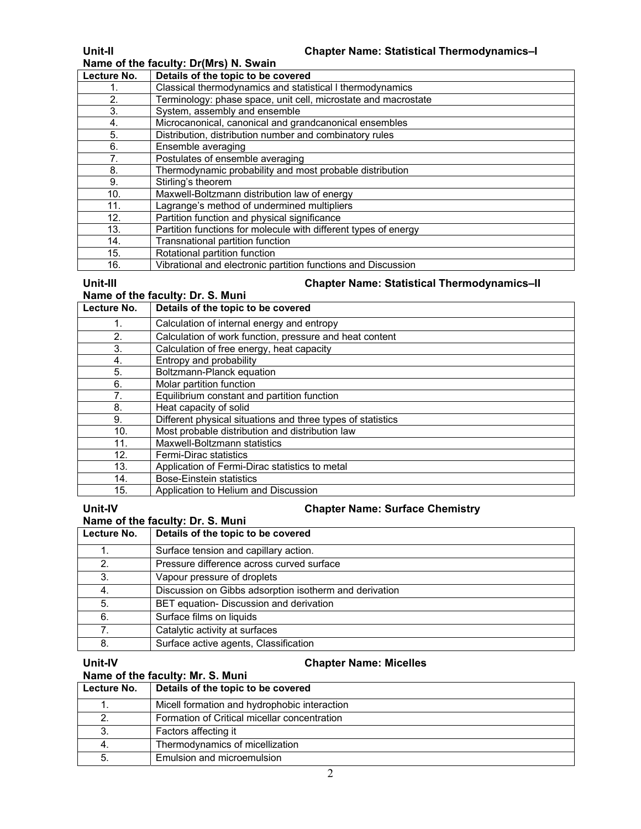#### **Name of the faculty: Dr(Mrs) N. Swain**

| Lecture No.     | Details of the topic to be covered                              |
|-----------------|-----------------------------------------------------------------|
|                 | Classical thermodynamics and statistical I thermodynamics       |
| 2.              | Terminology: phase space, unit cell, microstate and macrostate  |
| 3.              | System, assembly and ensemble                                   |
| 4.              | Microcanonical, canonical and grandcanonical ensembles          |
| 5.              | Distribution, distribution number and combinatory rules         |
| 6.              | Ensemble averaging                                              |
|                 | Postulates of ensemble averaging                                |
| 8.              | Thermodynamic probability and most probable distribution        |
| 9.              | Stirling's theorem                                              |
| 10 <sub>1</sub> | Maxwell-Boltzmann distribution law of energy                    |
| 11.             | Lagrange's method of undermined multipliers                     |
| 12.             | Partition function and physical significance                    |
| 13.             | Partition functions for molecule with different types of energy |
| 14.             | Transnational partition function                                |
| 15.             | Rotational partition function                                   |
| 16.             | Vibrational and electronic partition functions and Discussion   |

#### **Unit-III Chapter Name: Statistical Thermodynamics–II**

#### **Name of the faculty: Dr. S. Muni**

| Lecture No. | Details of the topic to be covered                          |
|-------------|-------------------------------------------------------------|
| 1.          | Calculation of internal energy and entropy                  |
| 2.          | Calculation of work function, pressure and heat content     |
| 3.          | Calculation of free energy, heat capacity                   |
| 4.          | Entropy and probability                                     |
| 5.          | Boltzmann-Planck equation                                   |
| 6.          | Molar partition function                                    |
| 7.          | Equilibrium constant and partition function                 |
| 8.          | Heat capacity of solid                                      |
| 9.          | Different physical situations and three types of statistics |
| 10.         | Most probable distribution and distribution law             |
| 11.         | Maxwell-Boltzmann statistics                                |
| 12.         | Fermi-Dirac statistics                                      |
| 13.         | Application of Fermi-Dirac statistics to metal              |
| 14.         | Bose-Einstein statistics                                    |
| 15.         | Application to Helium and Discussion                        |

### **Unit-IV Chapter Name: Surface Chemistry**

## **Name of the faculty: Dr. S. Muni**

| Lecture No. | Details of the topic to be covered                     |
|-------------|--------------------------------------------------------|
|             | Surface tension and capillary action.                  |
|             | Pressure difference across curved surface              |
|             | Vapour pressure of droplets                            |
|             | Discussion on Gibbs adsorption isotherm and derivation |
| 5.          | BET equation- Discussion and derivation                |
| 6.          | Surface films on liquids                               |
|             | Catalytic activity at surfaces                         |
|             | Surface active agents, Classification                  |

#### **Unit-IV Chapter Name: Micelles**

#### **Name of the faculty: Mr. S. Muni**

| Lecture No. | Details of the topic to be covered           |
|-------------|----------------------------------------------|
|             | Micell formation and hydrophobic interaction |
|             | Formation of Critical micellar concentration |
|             | Factors affecting it                         |
|             | Thermodynamics of micellization              |
| 5.          | Emulsion and microemulsion                   |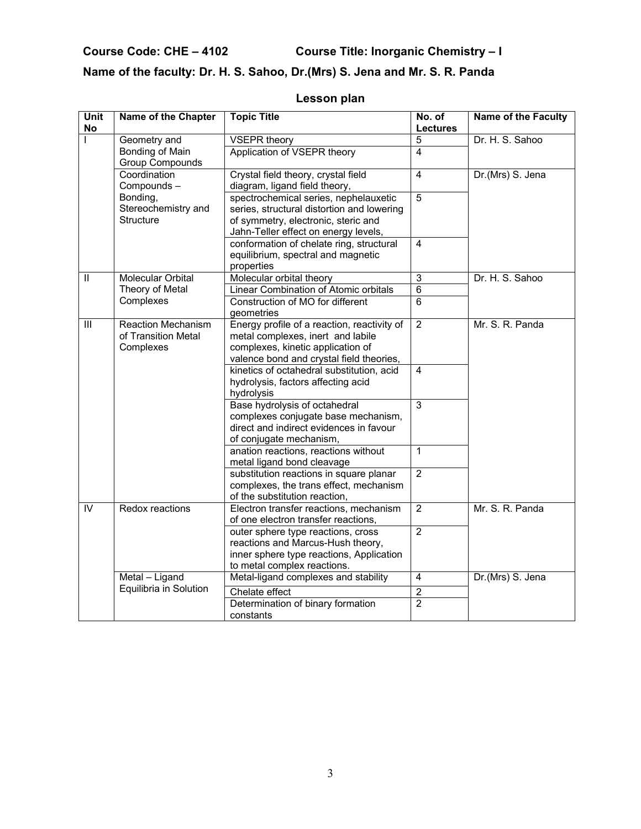**Course Code: CHE – 4102 Course Title: Inorganic Chemistry – I** 

# **Name of the faculty: Dr. H. S. Sahoo, Dr.(Mrs) S. Jena and Mr. S. R. Panda**

| <b>Unit</b><br><b>No</b>                  | Name of the Chapter                                           | <b>Topic Title</b>                                                                                                                                                 | No. of<br><b>Lectures</b> | <b>Name of the Faculty</b> |
|-------------------------------------------|---------------------------------------------------------------|--------------------------------------------------------------------------------------------------------------------------------------------------------------------|---------------------------|----------------------------|
| $\mathbf{I}$                              | Geometry and                                                  | <b>VSEPR theory</b>                                                                                                                                                | 5                         | Dr. H. S. Sahoo            |
|                                           | Bonding of Main<br><b>Group Compounds</b>                     | Application of VSEPR theory                                                                                                                                        | 4                         |                            |
|                                           | Coordination<br>Compounds-                                    | Crystal field theory, crystal field<br>diagram, ligand field theory,                                                                                               | $\overline{4}$            | Dr.(Mrs) S. Jena           |
|                                           | Bonding,<br>Stereochemistry and<br>Structure                  | spectrochemical series, nephelauxetic<br>series, structural distortion and lowering<br>of symmetry, electronic, steric and<br>Jahn-Teller effect on energy levels, | $\overline{5}$            |                            |
|                                           |                                                               | conformation of chelate ring, structural<br>equilibrium, spectral and magnetic<br>properties                                                                       | $\overline{4}$            |                            |
| $\label{eq:1} \prod_{i=1}^n \mathbb{I}_i$ | <b>Molecular Orbital</b>                                      | Molecular orbital theory                                                                                                                                           | $\overline{3}$            | Dr. H. S. Sahoo            |
|                                           | Theory of Metal                                               | Linear Combination of Atomic orbitals                                                                                                                              | $6\phantom{1}$            |                            |
|                                           | Complexes                                                     | Construction of MO for different<br>geometries                                                                                                                     | 6                         |                            |
| $\mathbf{III}$                            | <b>Reaction Mechanism</b><br>of Transition Metal<br>Complexes | Energy profile of a reaction, reactivity of<br>metal complexes, inert and labile<br>complexes, kinetic application of<br>valence bond and crystal field theories,  | $\overline{2}$            | Mr. S. R. Panda            |
|                                           |                                                               | kinetics of octahedral substitution, acid<br>hydrolysis, factors affecting acid<br>hydrolysis                                                                      | 4                         |                            |
|                                           |                                                               | Base hydrolysis of octahedral<br>complexes conjugate base mechanism,<br>direct and indirect evidences in favour<br>of conjugate mechanism,                         | $\overline{3}$            |                            |
|                                           |                                                               | anation reactions, reactions without<br>metal ligand bond cleavage                                                                                                 | $\mathbf{1}$              |                            |
|                                           |                                                               | substitution reactions in square planar<br>complexes, the trans effect, mechanism<br>of the substitution reaction,                                                 | $\overline{2}$            |                            |
| IV                                        | Redox reactions                                               | Electron transfer reactions, mechanism<br>of one electron transfer reactions,                                                                                      | $\overline{2}$            | Mr. S. R. Panda            |
|                                           |                                                               | outer sphere type reactions, cross<br>reactions and Marcus-Hush theory,<br>inner sphere type reactions, Application<br>to metal complex reactions.                 | $\overline{2}$            |                            |
|                                           | Metal - Ligand                                                | Metal-ligand complexes and stability                                                                                                                               | $\overline{4}$            | Dr.(Mrs) S. Jena           |
|                                           | Equilibria in Solution                                        | Chelate effect                                                                                                                                                     | $\overline{2}$            |                            |
|                                           |                                                               | Determination of binary formation<br>constants                                                                                                                     | $\overline{2}$            |                            |

# **Lesson plan**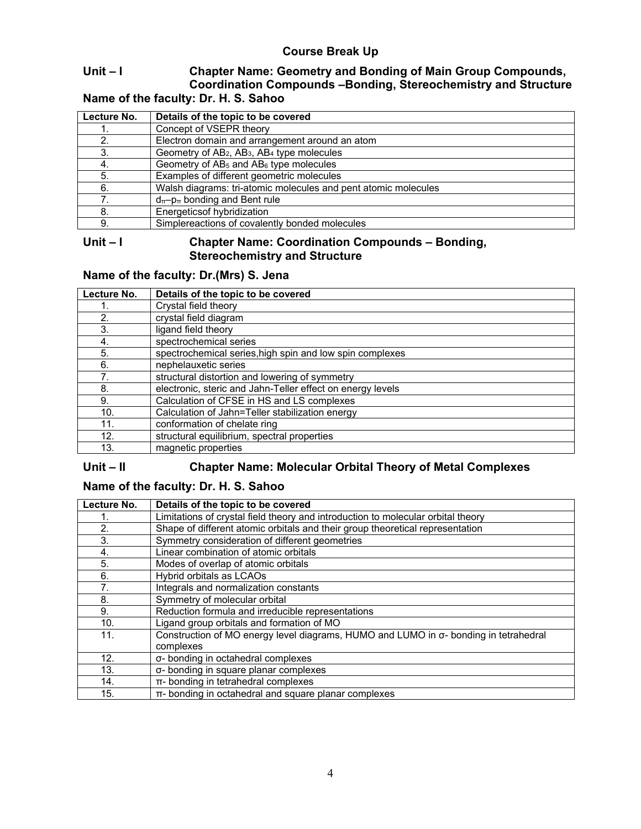# **Course Break Up**

# **Unit – I Chapter Name: Geometry and Bonding of Main Group Compounds, Coordination Compounds –Bonding, Stereochemistry and Structure**

**Name of the faculty: Dr. H. S. Sahoo**

| Lecture No. | Details of the topic to be covered                                             |
|-------------|--------------------------------------------------------------------------------|
|             | Concept of VSEPR theory                                                        |
| 2.          | Electron domain and arrangement around an atom                                 |
| 3.          | Geometry of AB <sub>2</sub> , AB <sub>3</sub> , AB <sub>4</sub> type molecules |
| 4.          | Geometry of $AB_5$ and $AB_6$ type molecules                                   |
| 5.          | Examples of different geometric molecules                                      |
| 6.          | Walsh diagrams: tri-atomic molecules and pent atomic molecules                 |
|             | $d_{\pi}$ - $p_{\pi}$ bonding and Bent rule                                    |
| 8.          | Energetics of hybridization                                                    |
| 9.          | Simplereactions of covalently bonded molecules                                 |

#### **Unit – I Chapter Name: Coordination Compounds – Bonding, Stereochemistry and Structure**

# **Name of the faculty: Dr.(Mrs) S. Jena**

| Lecture No. | Details of the topic to be covered                         |
|-------------|------------------------------------------------------------|
|             | Crystal field theory                                       |
| 2.          | crystal field diagram                                      |
| 3.          | ligand field theory                                        |
| 4.          | spectrochemical series                                     |
| 5.          | spectrochemical series, high spin and low spin complexes   |
| 6.          | nephelauxetic series                                       |
| 7.          | structural distortion and lowering of symmetry             |
| 8.          | electronic, steric and Jahn-Teller effect on energy levels |
| 9.          | Calculation of CFSE in HS and LS complexes                 |
| 10.         | Calculation of Jahn=Teller stabilization energy            |
| 11.         | conformation of chelate ring                               |
| 12.         | structural equilibrium, spectral properties                |
| 13.         | magnetic properties                                        |

#### **Unit – II Chapter Name: Molecular Orbital Theory of Metal Complexes**

# **Name of the faculty: Dr. H. S. Sahoo**

| Lecture No. | Details of the topic to be covered                                                                        |
|-------------|-----------------------------------------------------------------------------------------------------------|
|             | Limitations of crystal field theory and introduction to molecular orbital theory                          |
| 2.          | Shape of different atomic orbitals and their group theoretical representation                             |
| 3.          | Symmetry consideration of different geometries                                                            |
| 4.          | Linear combination of atomic orbitals                                                                     |
| 5.          | Modes of overlap of atomic orbitals                                                                       |
| 6.          | Hybrid orbitals as LCAOs                                                                                  |
| 7.          | Integrals and normalization constants                                                                     |
| 8.          | Symmetry of molecular orbital                                                                             |
| 9.          | Reduction formula and irreducible representations                                                         |
| 10.         | Ligand group orbitals and formation of MO                                                                 |
| 11.         | Construction of MO energy level diagrams, HUMO and LUMO in $\sigma$ - bonding in tetrahedral<br>complexes |
| 12.         | σ- bonding in octahedral complexes                                                                        |
| 13.         | σ- bonding in square planar complexes                                                                     |
| 14.         | π- bonding in tetrahedral complexes                                                                       |
| 15.         | π- bonding in octahedral and square planar complexes                                                      |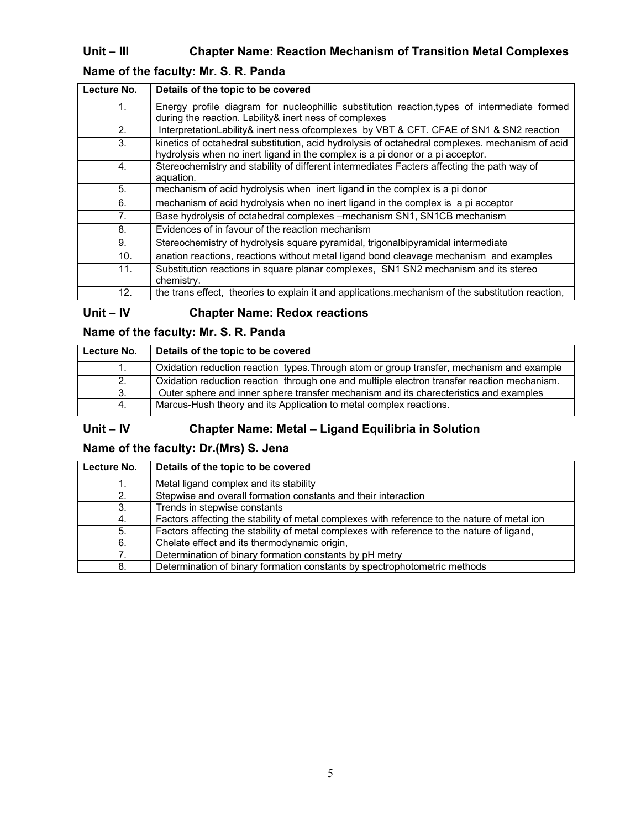# **Unit – III Chapter Name: Reaction Mechanism of Transition Metal Complexes**

# **Name of the faculty: Mr. S. R. Panda**

| Lecture No.    | Details of the topic to be covered                                                                                                                                                |
|----------------|-----------------------------------------------------------------------------------------------------------------------------------------------------------------------------------|
| $\mathbf{1}$ . | Energy profile diagram for nucleophillic substitution reaction, types of intermediate formed<br>during the reaction. Lability& inert ness of complexes                            |
| 2.             | InterpretationLability& inert ness ofcomplexes by VBT & CFT. CFAE of SN1 & SN2 reaction                                                                                           |
| 3.             | kinetics of octahedral substitution, acid hydrolysis of octahedral complexes. mechanism of acid<br>hydrolysis when no inert ligand in the complex is a pi donor or a pi acceptor. |
| 4.             | Stereochemistry and stability of different intermediates Facters affecting the path way of<br>aquation.                                                                           |
| 5 <sub>1</sub> | mechanism of acid hydrolysis when inert ligand in the complex is a pi donor                                                                                                       |
| 6.             | mechanism of acid hydrolysis when no inert ligand in the complex is a pi acceptor                                                                                                 |
| 7 <sub>1</sub> | Base hydrolysis of octahedral complexes - mechanism SN1, SN1CB mechanism                                                                                                          |
| 8.             | Evidences of in favour of the reaction mechanism                                                                                                                                  |
| 9.             | Stereochemistry of hydrolysis square pyramidal, trigonalbipyramidal intermediate                                                                                                  |
| 10.            | anation reactions, reactions without metal ligand bond cleavage mechanism and examples                                                                                            |
| 11.            | Substitution reactions in square planar complexes, SN1 SN2 mechanism and its stereo<br>chemistry.                                                                                 |
| 12.            | the trans effect, theories to explain it and applications.mechanism of the substitution reaction,                                                                                 |

# **Unit – IV Chapter Name: Redox reactions**

# **Name of the faculty: Mr. S. R. Panda**

| Lecture No. | Details of the topic to be covered                                                          |  |
|-------------|---------------------------------------------------------------------------------------------|--|
| 1.          | Oxidation reduction reaction types. Through atom or group transfer, mechanism and example   |  |
| 2.          | Oxidation reduction reaction through one and multiple electron transfer reaction mechanism. |  |
| 3.          | Outer sphere and inner sphere transfer mechanism and its charecteristics and examples       |  |
| 4.          | Marcus-Hush theory and its Application to metal complex reactions.                          |  |

# **Unit – IV Chapter Name: Metal – Ligand Equilibria in Solution**

# **Name of the faculty: Dr.(Mrs) S. Jena**

| Lecture No. | Details of the topic to be covered                                                           |  |
|-------------|----------------------------------------------------------------------------------------------|--|
|             | Metal ligand complex and its stability                                                       |  |
| 2.          | Stepwise and overall formation constants and their interaction                               |  |
| 3.          | Trends in stepwise constants                                                                 |  |
| 4.          | Factors affecting the stability of metal complexes with reference to the nature of metal ion |  |
| 5.          | Factors affecting the stability of metal complexes with reference to the nature of ligand,   |  |
| 6.          | Chelate effect and its thermodynamic origin,                                                 |  |
| 7.          | Determination of binary formation constants by pH metry                                      |  |
| 8.          | Determination of binary formation constants by spectrophotometric methods                    |  |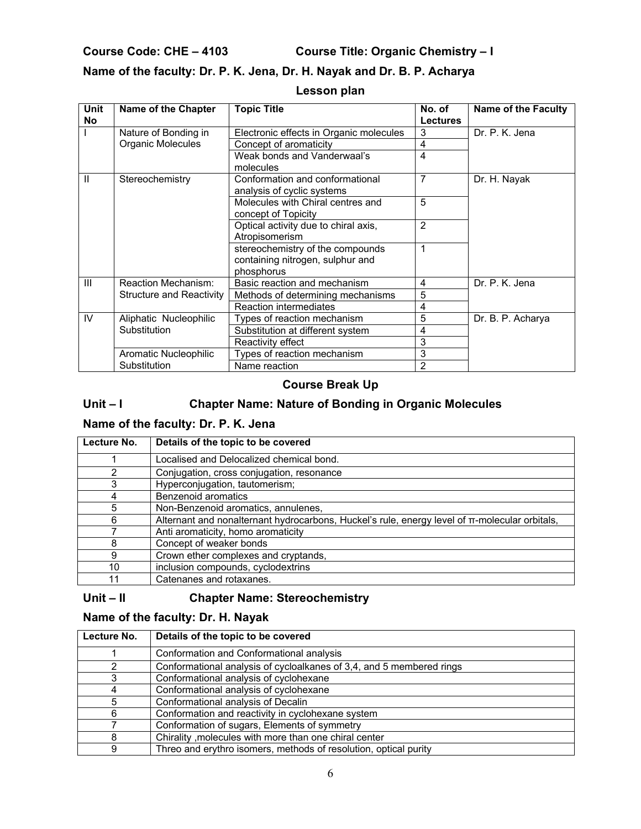**Course Code: CHE – 4103 Course Title: Organic Chemistry – I** 

# **Name of the faculty: Dr. P. K. Jena, Dr. H. Nayak and Dr. B. P. Acharya**

| <b>Unit</b><br>No | Name of the Chapter             | <b>Topic Title</b>                                                                 | No. of<br><b>Lectures</b> | <b>Name of the Faculty</b> |
|-------------------|---------------------------------|------------------------------------------------------------------------------------|---------------------------|----------------------------|
|                   | Nature of Bonding in            | Electronic effects in Organic molecules                                            | 3                         | Dr. P. K. Jena             |
|                   | Organic Molecules               | Concept of aromaticity                                                             | 4                         |                            |
|                   |                                 | Weak bonds and Vanderwaal's<br>molecules                                           | 4                         |                            |
| H.                | Stereochemistry                 | Conformation and conformational<br>analysis of cyclic systems                      | 7                         | Dr. H. Nayak               |
|                   |                                 | Molecules with Chiral centres and<br>concept of Topicity                           | 5                         |                            |
|                   |                                 | Optical activity due to chiral axis,<br>Atropisomerism                             | $\overline{2}$            |                            |
|                   |                                 | stereochemistry of the compounds<br>containing nitrogen, sulphur and<br>phosphorus | 1                         |                            |
| $\mathbf{III}$    | Reaction Mechanism:             | Basic reaction and mechanism                                                       | 4                         | Dr. P. K. Jena             |
|                   | <b>Structure and Reactivity</b> | Methods of determining mechanisms                                                  | 5                         |                            |
|                   |                                 | Reaction intermediates                                                             | 4                         |                            |
| IV                | Aliphatic Nucleophilic          | Types of reaction mechanism                                                        | 5                         | Dr. B. P. Acharya          |
|                   | Substitution                    | Substitution at different system                                                   | 4                         |                            |
|                   |                                 | Reactivity effect                                                                  | 3                         |                            |
|                   | Aromatic Nucleophilic           | Types of reaction mechanism                                                        | 3                         |                            |
|                   | Substitution                    | Name reaction                                                                      | 2                         |                            |

### **Lesson plan**

## **Course Break Up**

# Unit – I Chapter Name: Nature of Bonding in Organic Molecules

# **Name of the faculty: Dr. P. K. Jena**

| Lecture No. | Details of the topic to be covered                                                                 |
|-------------|----------------------------------------------------------------------------------------------------|
|             | Localised and Delocalized chemical bond.                                                           |
| 2           | Conjugation, cross conjugation, resonance                                                          |
| 3           | Hyperconjugation, tautomerism;                                                                     |
|             | Benzenoid aromatics                                                                                |
| 5           | Non-Benzenoid aromatics, annulenes,                                                                |
| 6           | Alternant and nonalternant hydrocarbons, Huckel's rule, energy level of $\pi$ -molecular orbitals, |
|             | Anti aromaticity, homo aromaticity                                                                 |
|             | Concept of weaker bonds                                                                            |
| g           | Crown ether complexes and cryptands,                                                               |
| 10          | inclusion compounds, cyclodextrins                                                                 |
|             | Catenanes and rotaxanes.                                                                           |

### **Unit – II Chapter Name: Stereochemistry**

# **Name of the faculty: Dr. H. Nayak**

| Lecture No. | Details of the topic to be covered                                   |  |
|-------------|----------------------------------------------------------------------|--|
|             | Conformation and Conformational analysis                             |  |
|             | Conformational analysis of cycloalkanes of 3,4, and 5 membered rings |  |
|             | Conformational analysis of cyclohexane                               |  |
|             | Conformational analysis of cyclohexane                               |  |
|             | Conformational analysis of Decalin                                   |  |
| 6           | Conformation and reactivity in cyclohexane system                    |  |
|             | Conformation of sugars, Elements of symmetry                         |  |
|             | Chirality , molecules with more than one chiral center               |  |
| 9           | Threo and erythro isomers, methods of resolution, optical purity     |  |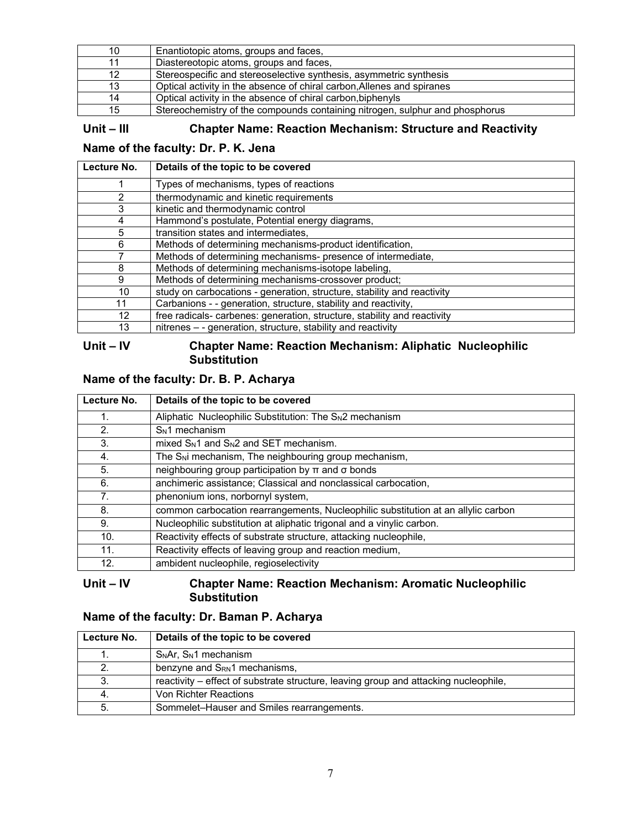| 10 | Enantiotopic atoms, groups and faces,                                        |
|----|------------------------------------------------------------------------------|
|    | Diastereotopic atoms, groups and faces,                                      |
|    | Stereospecific and stereoselective synthesis, asymmetric synthesis           |
| 13 | Optical activity in the absence of chiral carbon. Allenes and spiranes       |
| 14 | Optical activity in the absence of chiral carbon biphenyls                   |
| 15 | Stereochemistry of the compounds containing nitrogen, sulphur and phosphorus |

**Unit – III Chapter Name: Reaction Mechanism: Structure and Reactivity** 

### **Name of the faculty: Dr. P. K. Jena**

| Lecture No. | Details of the topic to be covered                                       |  |
|-------------|--------------------------------------------------------------------------|--|
|             | Types of mechanisms, types of reactions                                  |  |
|             | thermodynamic and kinetic requirements                                   |  |
| 3           | kinetic and thermodynamic control                                        |  |
| 4           | Hammond's postulate, Potential energy diagrams,                          |  |
| 5           | transition states and intermediates,                                     |  |
| 6           | Methods of determining mechanisms-product identification,                |  |
| 7           | Methods of determining mechanisms- presence of intermediate,             |  |
| 8           | Methods of determining mechanisms-isotope labeling,                      |  |
| 9           | Methods of determining mechanisms-crossover product;                     |  |
| 10          | study on carbocations - generation, structure, stability and reactivity  |  |
| 11          | Carbanions - - generation, structure, stability and reactivity,          |  |
| 12          | free radicals- carbenes: generation, structure, stability and reactivity |  |
| 13          | nitrenes - - generation, structure, stability and reactivity             |  |

#### **Unit – IV Chapter Name: Reaction Mechanism: Aliphatic Nucleophilic Substitution**

## **Name of the faculty: Dr. B. P. Acharya**

| Lecture No. | Details of the topic to be covered                                                |  |
|-------------|-----------------------------------------------------------------------------------|--|
| 1.          | Aliphatic Nucleophilic Substitution: The S <sub>N2</sub> mechanism                |  |
| 2.          | $SN1$ mechanism                                                                   |  |
| 3.          | $mixed$ S <sub>N</sub> 1 and S <sub>N</sub> 2 and SET mechanism.                  |  |
| 4.          | The S <sub>N</sub> i mechanism, The neighbouring group mechanism,                 |  |
| 5.          | neighbouring group participation by $\pi$ and $\sigma$ bonds                      |  |
| 6.          | anchimeric assistance; Classical and nonclassical carbocation,                    |  |
| 7.          | phenonium ions, norbornyl system,                                                 |  |
| 8.          | common carbocation rearrangements, Nucleophilic substitution at an allylic carbon |  |
| 9.          | Nucleophilic substitution at aliphatic trigonal and a vinylic carbon.             |  |
| 10.         | Reactivity effects of substrate structure, attacking nucleophile,                 |  |
| 11.         | Reactivity effects of leaving group and reaction medium,                          |  |
| 12.         | ambident nucleophile, regioselectivity                                            |  |

#### **Unit – IV Chapter Name: Reaction Mechanism: Aromatic Nucleophilic Substitution**

### **Name of the faculty: Dr. Baman P. Acharya**

| Lecture No. | Details of the topic to be covered                                                   |  |
|-------------|--------------------------------------------------------------------------------------|--|
|             | $SNAr$ , $SN1$ mechanism                                                             |  |
|             | benzyne and S <sub>RN</sub> 1 mechanisms,                                            |  |
|             | reactivity – effect of substrate structure, leaving group and attacking nucleophile, |  |
|             | Von Richter Reactions                                                                |  |
|             | Sommelet-Hauser and Smiles rearrangements.                                           |  |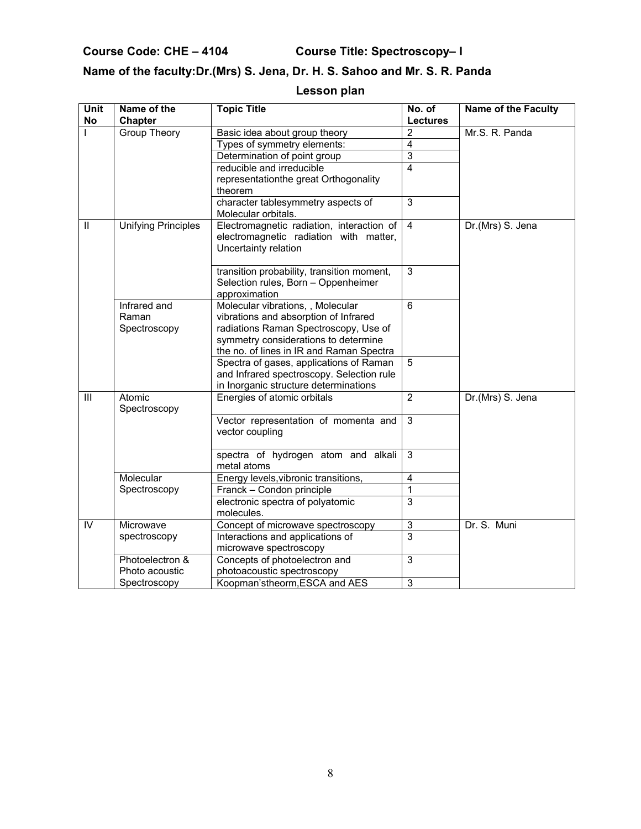**Course Code: CHE – 4104 Course Title: Spectroscopy– I** 

# **Name of the faculty:Dr.(Mrs) S. Jena, Dr. H. S. Sahoo and Mr. S. R. Panda**

# **Lesson plan**

| Unit<br>No     | Name of the<br>Chapter                | <b>Topic Title</b>                                                                                                                                                                                      | No. of<br><b>Lectures</b> | <b>Name of the Faculty</b> |
|----------------|---------------------------------------|---------------------------------------------------------------------------------------------------------------------------------------------------------------------------------------------------------|---------------------------|----------------------------|
|                | Group Theory                          | Basic idea about group theory                                                                                                                                                                           | $\overline{2}$            | Mr.S. R. Panda             |
|                |                                       | Types of symmetry elements:                                                                                                                                                                             | $\overline{4}$            |                            |
|                |                                       | Determination of point group                                                                                                                                                                            | $\overline{3}$            |                            |
|                |                                       | reducible and irreducible                                                                                                                                                                               | $\overline{4}$            |                            |
|                |                                       | representationthe great Orthogonality                                                                                                                                                                   |                           |                            |
|                |                                       | theorem                                                                                                                                                                                                 |                           |                            |
|                |                                       | character tablesymmetry aspects of                                                                                                                                                                      | 3                         |                            |
|                |                                       | Molecular orbitals.                                                                                                                                                                                     |                           |                            |
| $\mathbf{II}$  | <b>Unifying Principles</b>            | Electromagnetic radiation, interaction of<br>electromagnetic radiation with matter,<br>Uncertainty relation                                                                                             | $\overline{4}$            | Dr.(Mrs) S. Jena           |
|                |                                       | transition probability, transition moment,<br>Selection rules, Born - Oppenheimer<br>approximation                                                                                                      | $\overline{3}$            |                            |
|                | Infrared and<br>Raman<br>Spectroscopy | Molecular vibrations, , Molecular<br>vibrations and absorption of Infrared<br>radiations Raman Spectroscopy, Use of<br>symmetry considerations to determine<br>the no. of lines in IR and Raman Spectra | $\overline{6}$            |                            |
|                |                                       | Spectra of gases, applications of Raman<br>and Infrared spectroscopy. Selection rule<br>in Inorganic structure determinations                                                                           | 5                         |                            |
| III            | Atomic<br>Spectroscopy                | Energies of atomic orbitals                                                                                                                                                                             | $\overline{2}$            | Dr.(Mrs) S. Jena           |
|                |                                       | Vector representation of momenta and<br>vector coupling                                                                                                                                                 | $\overline{3}$            |                            |
|                |                                       | spectra of hydrogen atom and alkali<br>metal atoms                                                                                                                                                      | $\overline{3}$            |                            |
|                | Molecular                             | Energy levels, vibronic transitions,                                                                                                                                                                    | $\overline{4}$            |                            |
|                | Spectroscopy                          | Franck - Condon principle                                                                                                                                                                               | $\mathbf{1}$              |                            |
|                |                                       | electronic spectra of polyatomic<br>molecules.                                                                                                                                                          | $\overline{3}$            |                            |
| $\overline{N}$ | Microwave                             | Concept of microwave spectroscopy                                                                                                                                                                       | $\overline{3}$            | Dr. S. Muni                |
|                | spectroscopy                          | Interactions and applications of                                                                                                                                                                        | $\overline{3}$            |                            |
|                |                                       | microwave spectroscopy                                                                                                                                                                                  |                           |                            |
|                | Photoelectron &                       | Concepts of photoelectron and                                                                                                                                                                           | 3                         |                            |
|                | Photo acoustic                        | photoacoustic spectroscopy                                                                                                                                                                              |                           |                            |
|                | Spectroscopy                          | Koopman'stheorm, ESCA and AES                                                                                                                                                                           | 3                         |                            |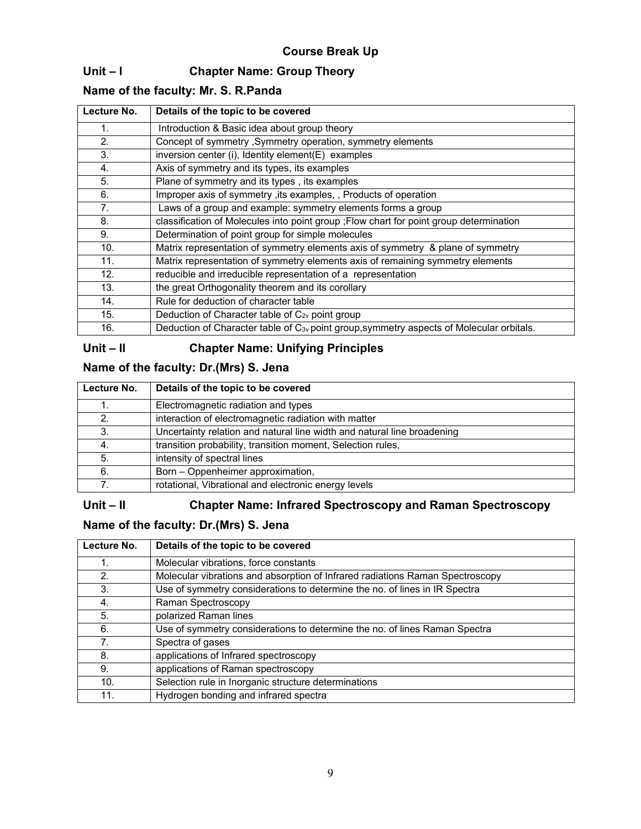# **Unit – I Chapter Name: Group Theory**

# **Name of the faculty: Mr. S. R.Panda**

| Lecture No. | Details of the topic to be covered                                                                   |  |
|-------------|------------------------------------------------------------------------------------------------------|--|
| 1.          | Introduction & Basic idea about group theory                                                         |  |
| 2.          | Concept of symmetry, Symmetry operation, symmetry elements                                           |  |
| 3.          | inversion center (i), Identity element(E) examples                                                   |  |
| 4.          | Axis of symmetry and its types, its examples                                                         |  |
| 5.          | Plane of symmetry and its types, its examples                                                        |  |
| 6.          | Improper axis of symmetry, its examples, , Products of operation                                     |  |
| 7.          | Laws of a group and example: symmetry elements forms a group                                         |  |
| 8.          | classification of Molecules into point group ; Flow chart for point group determination              |  |
| 9.          | Determination of point group for simple molecules                                                    |  |
| 10.         | Matrix representation of symmetry elements axis of symmetry & plane of symmetry                      |  |
| 11.         | Matrix representation of symmetry elements axis of remaining symmetry elements                       |  |
| 12.         | reducible and irreducible representation of a representation                                         |  |
| 13.         | the great Orthogonality theorem and its corollary                                                    |  |
| 14.         | Rule for deduction of character table                                                                |  |
| 15.         | Deduction of Character table of C <sub>2v</sub> point group                                          |  |
| 16.         | Deduction of Character table of C <sub>3v</sub> point group, symmetry aspects of Molecular orbitals. |  |

# **Unit – II Chapter Name: Unifying Principles**

# **Name of the faculty: Dr.(Mrs) S. Jena**

| Lecture No. | Details of the topic to be covered                                      |  |
|-------------|-------------------------------------------------------------------------|--|
|             | Electromagnetic radiation and types                                     |  |
| 2.          | interaction of electromagnetic radiation with matter                    |  |
| 3.          | Uncertainty relation and natural line width and natural line broadening |  |
|             | transition probability, transition moment, Selection rules,             |  |
| 5.          | intensity of spectral lines                                             |  |
| 6.          | Born - Oppenheimer approximation,                                       |  |
|             | rotational, Vibrational and electronic energy levels                    |  |

## **Unit – II Chapter Name: Infrared Spectroscopy and Raman Spectroscopy**

# **Name of the faculty: Dr.(Mrs) S. Jena**

| Lecture No. | Details of the topic to be covered                                            |
|-------------|-------------------------------------------------------------------------------|
|             | Molecular vibrations, force constants                                         |
| 2.          | Molecular vibrations and absorption of Infrared radiations Raman Spectroscopy |
| 3.          | Use of symmetry considerations to determine the no. of lines in IR Spectra    |
| 4.          | Raman Spectroscopy                                                            |
| 5.          | polarized Raman lines                                                         |
| 6.          | Use of symmetry considerations to determine the no. of lines Raman Spectra    |
| 7.          | Spectra of gases                                                              |
| 8.          | applications of Infrared spectroscopy                                         |
| 9.          | applications of Raman spectroscopy                                            |
| 10.         | Selection rule in Inorganic structure determinations                          |
| 11.         | Hydrogen bonding and infrared spectra                                         |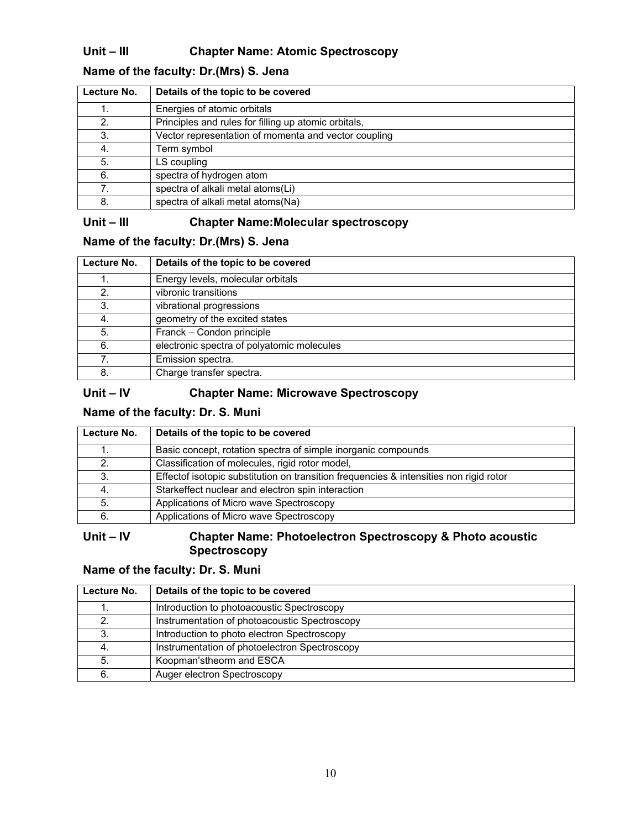# **Unit – III Chapter Name: Atomic Spectroscopy**

# **Name of the faculty: Dr.(Mrs) S. Jena**

| Lecture No. | Details of the topic to be covered                   |
|-------------|------------------------------------------------------|
|             | Energies of atomic orbitals                          |
| 2.          | Principles and rules for filling up atomic orbitals, |
| 3.          | Vector representation of momenta and vector coupling |
| 4.          | Term symbol                                          |
| 5.          | LS coupling                                          |
| 6.          | spectra of hydrogen atom                             |
| 7.          | spectra of alkali metal atoms(Li)                    |
| 8.          | spectra of alkali metal atoms (Na)                   |

# **Unit – III Chapter Name:Molecular spectroscopy**

#### **Name of the faculty: Dr.(Mrs) S. Jena**

| Lecture No. | Details of the topic to be covered         |
|-------------|--------------------------------------------|
|             | Energy levels, molecular orbitals          |
| 2.          | vibronic transitions                       |
| 3.          | vibrational progressions                   |
| 4.          | geometry of the excited states             |
| 5.          | Franck - Condon principle                  |
| 6.          | electronic spectra of polyatomic molecules |
| 7.          | Emission spectra.                          |
| 8.          | Charge transfer spectra.                   |

## **Unit – IV Chapter Name: Microwave Spectroscopy**

## **Name of the faculty: Dr. S. Muni**

| Lecture No. | Details of the topic to be covered                                                     |
|-------------|----------------------------------------------------------------------------------------|
|             | Basic concept, rotation spectra of simple inorganic compounds                          |
| 2.          | Classification of molecules, rigid rotor model,                                        |
| 3.          | Effectof isotopic substitution on transition frequencies & intensities non rigid rotor |
|             | Starkeffect nuclear and electron spin interaction                                      |
| 5.          | Applications of Micro wave Spectroscopy                                                |
| 6.          | Applications of Micro wave Spectroscopy                                                |

### **Unit – IV Chapter Name: Photoelectron Spectroscopy & Photo acoustic Spectroscopy**

## **Name of the faculty: Dr. S. Muni**

| Lecture No. | Details of the topic to be covered            |
|-------------|-----------------------------------------------|
|             | Introduction to photoacoustic Spectroscopy    |
| 2.          | Instrumentation of photoacoustic Spectroscopy |
| 3.          | Introduction to photo electron Spectroscopy   |
| 4.          | Instrumentation of photoelectron Spectroscopy |
| -5.         | Koopman'stheorm and ESCA                      |
| 6.          | Auger electron Spectroscopy                   |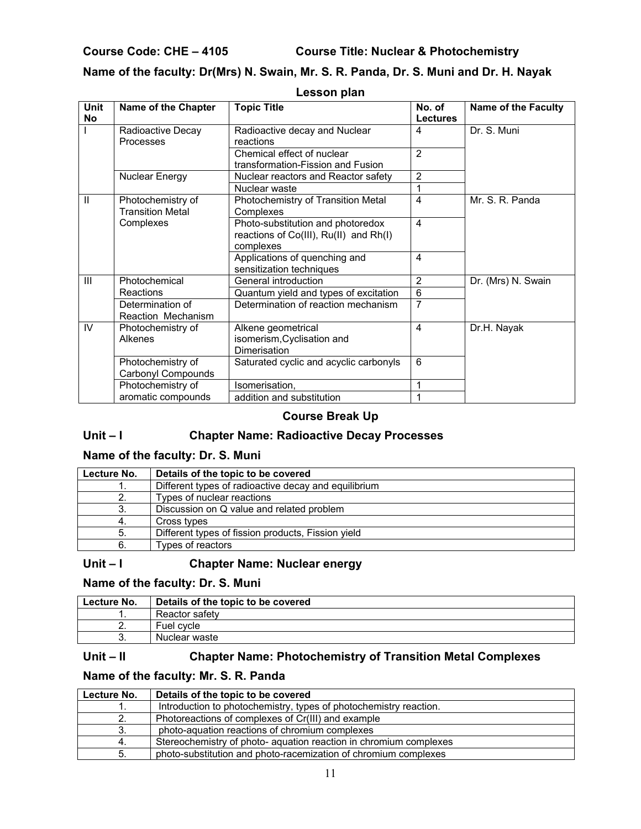**Course Code: CHE – 4105 Course Title: Nuclear & Photochemistry**

# **Name of the faculty: Dr(Mrs) N. Swain, Mr. S. R. Panda, Dr. S. Muni and Dr. H. Nayak**

| <b>Unit</b><br>No | Name of the Chapter                          | <b>Topic Title</b>                                                                       | No. of<br><b>Lectures</b> | <b>Name of the Faculty</b> |
|-------------------|----------------------------------------------|------------------------------------------------------------------------------------------|---------------------------|----------------------------|
|                   | Radioactive Decay<br>Processes               | Radioactive decay and Nuclear<br>reactions                                               | 4                         | Dr. S. Muni                |
|                   |                                              | Chemical effect of nuclear<br>transformation-Fission and Fusion                          | $\mathfrak{p}$            |                            |
|                   | Nuclear Energy                               | Nuclear reactors and Reactor safety                                                      | $\overline{2}$            |                            |
|                   |                                              | Nuclear waste                                                                            |                           |                            |
| $\mathbf{H}$      | Photochemistry of<br><b>Transition Metal</b> | Photochemistry of Transition Metal<br>Complexes                                          | $\overline{\mathbf{4}}$   | Mr. S. R. Panda            |
|                   | Complexes                                    | Photo-substitution and photoredox<br>reactions of Co(III), Ru(II) and Rh(I)<br>complexes | 4                         |                            |
|                   |                                              | Applications of quenching and<br>sensitization techniques                                | 4                         |                            |
| III               | Photochemical                                | General introduction                                                                     | $\overline{2}$            | Dr. (Mrs) N. Swain         |
|                   | Reactions                                    | Quantum yield and types of excitation                                                    | 6                         |                            |
|                   | Determination of<br>Reaction Mechanism       | Determination of reaction mechanism                                                      | $\overline{7}$            |                            |
| IV                | Photochemistry of<br>Alkenes                 | Alkene geometrical<br>isomerism, Cyclisation and<br>Dimerisation                         | $\overline{4}$            | Dr.H. Nayak                |
|                   | Photochemistry of<br>Carbonyl Compounds      | Saturated cyclic and acyclic carbonyls                                                   | 6                         |                            |
|                   | Photochemistry of                            | Isomerisation,                                                                           | 1                         |                            |
|                   | aromatic compounds                           | addition and substitution                                                                |                           |                            |

#### **Lesson plan**

#### **Course Break Up**

# **Unit – I Chapter Name: Radioactive Decay Processes**

#### **Name of the faculty: Dr. S. Muni**

| Lecture No. | Details of the topic to be covered                   |
|-------------|------------------------------------------------------|
|             | Different types of radioactive decay and equilibrium |
| 2.          | Types of nuclear reactions                           |
| 3.          | Discussion on Q value and related problem            |
| -4.         | Cross types                                          |
| 5.          | Different types of fission products, Fission yield   |
| 6.          | Types of reactors                                    |

#### **Unit – I Chapter Name: Nuclear energy**

#### **Name of the faculty: Dr. S. Muni**

| Lecture No. | Details of the topic to be covered |
|-------------|------------------------------------|
|             | Reactor safety                     |
|             | Fuel cvcle                         |
| J.          | Nuclear waste                      |

#### **Unit – II Chapter Name: Photochemistry of Transition Metal Complexes**

### **Name of the faculty: Mr. S. R. Panda**

| Lecture No. | Details of the topic to be covered                                |
|-------------|-------------------------------------------------------------------|
|             | Introduction to photochemistry, types of photochemistry reaction. |
| 2.          | Photoreactions of complexes of Cr(III) and example                |
| 3.          | photo-aquation reactions of chromium complexes                    |
| 4.          | Stereochemistry of photo- aquation reaction in chromium complexes |
| 5.          | photo-substitution and photo-racemization of chromium complexes   |